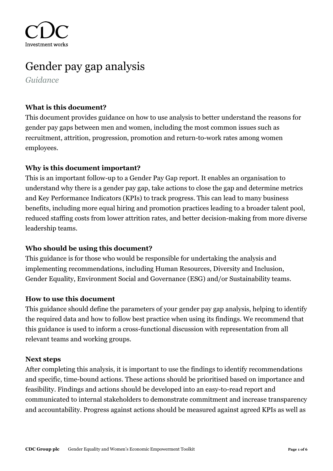Investment work

# Gender pay gap analysis

*Guidance*

## **What is this document?**

This document provides guidance on how to use analysis to better understand the reasons for gender pay gaps between men and women, including the most common issues such as recruitment, attrition, progression, promotion and return-to-work rates among women employees.

## **Why is this document important?**

This is an important follow-up to a Gender Pay Gap report. It enables an organisation to understand why there is a gender pay gap, take actions to close the gap and determine metrics and Key Performance Indicators (KPIs) to track progress. This can lead to many business benefits, including more equal hiring and promotion practices leading to a broader talent pool, reduced staffing costs from lower attrition rates, and better decision-making from more diverse leadership teams.

### **Who should be using this document?**

This guidance is for those who would be responsible for undertaking the analysis and implementing recommendations, including Human Resources, Diversity and Inclusion, Gender Equality, Environment Social and Governance (ESG) and/or Sustainability teams.

### **How to use this document**

This guidance should define the parameters of your gender pay gap analysis, helping to identify the required data and how to follow best practice when using its findings. We recommend that this guidance is used to inform a cross-functional discussion with representation from all relevant teams and working groups.

### **Next steps**

After completing this analysis, it is important to use the findings to identify recommendations and specific, time-bound actions. These actions should be prioritised based on importance and feasibility. Findings and actions should be developed into an easy-to-read report and communicated to internal stakeholders to demonstrate commitment and increase transparency and accountability. Progress against actions should be measured against agreed KPIs as well as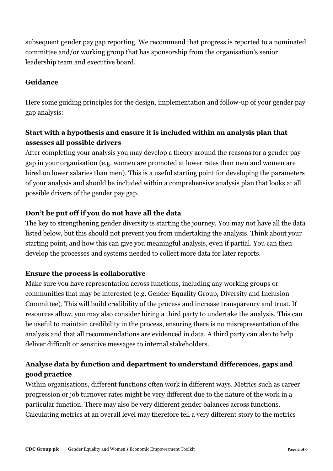subsequent gender pay gap reporting. We recommend that progress is reported to a nominated committee and/or working group that has sponsorship from the organisation's senior leadership team and executive board.

## **Guidance**

Here some guiding principles for the design, implementation and follow-up of your gender pay gap analysis:

# **Start with a hypothesis and ensure it is included within an analysis plan that assesses all possible drivers**

After completing your analysis you may develop a theory around the reasons for a gender pay gap in your organisation (e.g. women are promoted at lower rates than men and women are hired on lower salaries than men). This is a useful starting point for developing the parameters of your analysis and should be included within a comprehensive analysis plan that looks at all possible drivers of the gender pay gap.

## **Don't be put off if you do not have all the data**

The key to strengthening gender diversity is starting the journey. You may not have all the data listed below, but this should not prevent you from undertaking the analysis. Think about your starting point, and how this can give you meaningful analysis, even if partial. You can then develop the processes and systems needed to collect more data for later reports.

### **Ensure the process is collaborative**

Make sure you have representation across functions, including any working groups or communities that may be interested (e.g. Gender Equality Group, Diversity and Inclusion Committee). This will build credibility of the process and increase transparency and trust. If resources allow, you may also consider hiring a third party to undertake the analysis. This can be useful to maintain credibility in the process, ensuring there is no misrepresentation of the analysis and that all recommendations are evidenced in data. A third party can also to help deliver difficult or sensitive messages to internal stakeholders.

# **Analyse data by function and department to understand differences, gaps and good practice**

Within organisations, different functions often work in different ways. Metrics such as career progression or job turnover rates might be very different due to the nature of the work in a particular function. There may also be very different gender balances across functions. Calculating metrics at an overall level may therefore tell a very different story to the metrics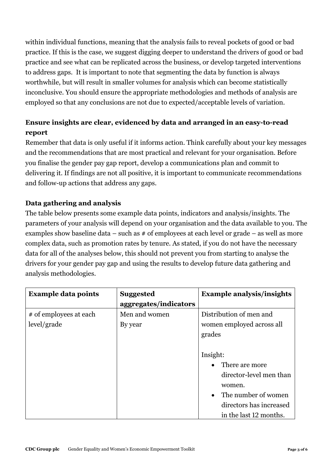within individual functions, meaning that the analysis fails to reveal pockets of good or bad practice. If this is the case, we suggest digging deeper to understand the drivers of good or bad practice and see what can be replicated across the business, or develop targeted interventions to address gaps. It is important to note that segmenting the data by function is always worthwhile, but will result in smaller volumes for analysis which can become statistically inconclusive. You should ensure the appropriate methodologies and methods of analysis are employed so that any conclusions are not due to expected/acceptable levels of variation.

# **Ensure insights are clear, evidenced by data and arranged in an easy-to-read report**

Remember that data is only useful if it informs action. Think carefully about your key messages and the recommendations that are most practical and relevant for your organisation. Before you finalise the gender pay gap report, develop a communications plan and commit to delivering it. If findings are not all positive, it is important to communicate recommendations and follow-up actions that address any gaps.

## **Data gathering and analysis**

The table below presents some example data points, indicators and analysis/insights. The parameters of your analysis will depend on your organisation and the data available to you. The examples show baseline data – such as  $#$  of employees at each level or grade – as well as more complex data, such as promotion rates by tenure. As stated, if you do not have the necessary data for all of the analyses below, this should not prevent you from starting to analyse the drivers for your gender pay gap and using the results to develop future data gathering and analysis methodologies.

| <b>Example data points</b>            | <b>Suggested</b><br>aggregates/indicators | <b>Example analysis/insights</b>                                                                                                                                                                              |
|---------------------------------------|-------------------------------------------|---------------------------------------------------------------------------------------------------------------------------------------------------------------------------------------------------------------|
| # of employees at each<br>level/grade | Men and women<br>By year                  | Distribution of men and<br>women employed across all<br>grades<br>Insight:<br>There are more<br>director-level men than<br>women.<br>The number of women<br>directors has increased<br>in the last 12 months. |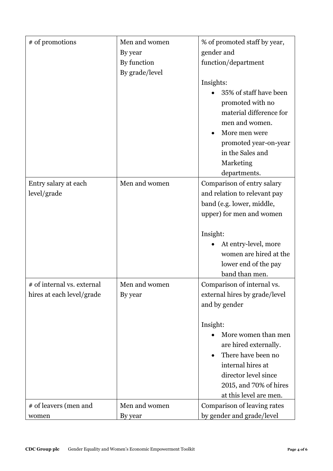| # of promotions            | Men and women  | % of promoted staff by year,  |
|----------------------------|----------------|-------------------------------|
|                            | By year        | gender and                    |
|                            | By function    | function/department           |
|                            | By grade/level |                               |
|                            |                | Insights:                     |
|                            |                | 35% of staff have been        |
|                            |                | promoted with no              |
|                            |                | material difference for       |
|                            |                | men and women.                |
|                            |                | More men were                 |
|                            |                | promoted year-on-year         |
|                            |                | in the Sales and              |
|                            |                | Marketing                     |
|                            |                | departments.                  |
| Entry salary at each       | Men and women  | Comparison of entry salary    |
| level/grade                |                | and relation to relevant pay  |
|                            |                | band (e.g. lower, middle,     |
|                            |                | upper) for men and women      |
|                            |                |                               |
|                            |                | Insight:                      |
|                            |                | At entry-level, more          |
|                            |                | women are hired at the        |
|                            |                | lower end of the pay          |
|                            |                | band than men.                |
| # of internal vs. external | Men and women  | Comparison of internal vs.    |
| hires at each level/grade  | By year        | external hires by grade/level |
|                            |                | and by gender                 |
|                            |                |                               |
|                            |                | Insight:                      |
|                            |                | More women than men           |
|                            |                | are hired externally.         |
|                            |                | There have been no            |
|                            |                | internal hires at             |
|                            |                | director level since          |
|                            |                | 2015, and 70% of hires        |
|                            |                | at this level are men.        |
| # of leavers (men and      | Men and women  | Comparison of leaving rates   |
| women                      | By year        | by gender and grade/level     |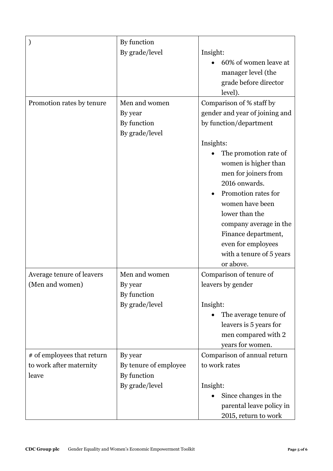|                            | By function           |                                |
|----------------------------|-----------------------|--------------------------------|
|                            | By grade/level        | Insight:                       |
|                            |                       | 60% of women leave at          |
|                            |                       | manager level (the             |
|                            |                       | grade before director          |
|                            |                       | level).                        |
| Promotion rates by tenure  | Men and women         | Comparison of % staff by       |
|                            | By year               | gender and year of joining and |
|                            | By function           | by function/department         |
|                            | By grade/level        |                                |
|                            |                       | Insights:                      |
|                            |                       | The promotion rate of          |
|                            |                       | women is higher than           |
|                            |                       | men for joiners from           |
|                            |                       | 2016 onwards.                  |
|                            |                       | Promotion rates for            |
|                            |                       | women have been                |
|                            |                       | lower than the                 |
|                            |                       | company average in the         |
|                            |                       | Finance department,            |
|                            |                       | even for employees             |
|                            |                       | with a tenure of 5 years       |
|                            |                       | or above.                      |
| Average tenure of leavers  | Men and women         | Comparison of tenure of        |
| (Men and women)            | By year               | leavers by gender              |
|                            | By function           |                                |
|                            | By grade/level        | Insight:                       |
|                            |                       | The average tenure of          |
|                            |                       | leavers is 5 years for         |
|                            |                       | men compared with 2            |
|                            |                       | years for women.               |
| # of employees that return | By year               | Comparison of annual return    |
| to work after maternity    | By tenure of employee | to work rates                  |
| leave                      | By function           |                                |
|                            | By grade/level        | Insight:                       |
|                            |                       | Since changes in the           |
|                            |                       | parental leave policy in       |
|                            |                       | 2015, return to work           |